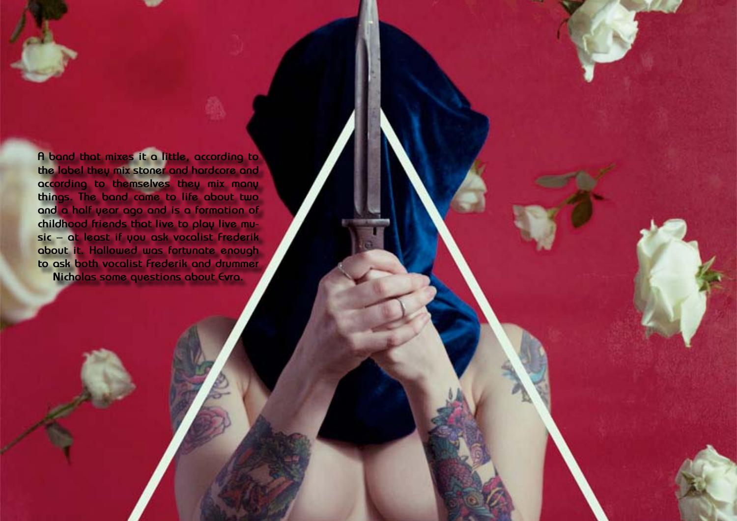

**A band that mixes it a little, according to the label they mix stoner and hardcore and according to themselves they mix many things. The band came to life about two and a half year ago and is a formation of childhood friends that live to play live music – at least if you ask vocalist Frederik about it. Hallowed was fortunate enough to ask both vocalist Frederik and drummer Nicholas some questions about Evra.**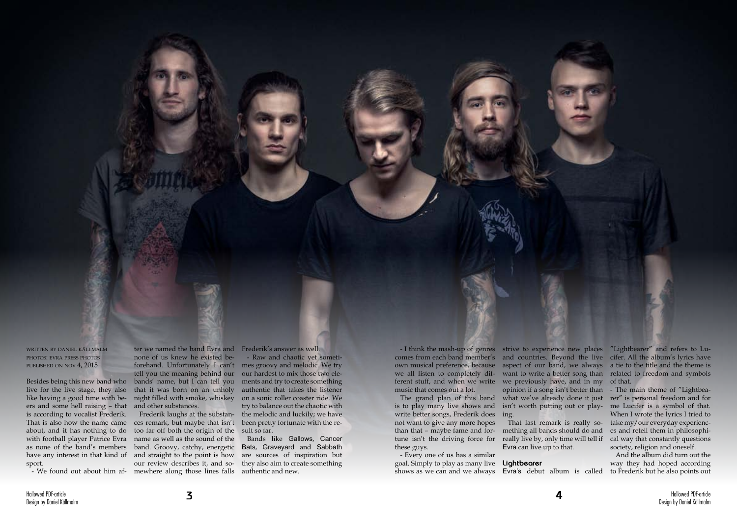written by daniel källmalm photos: evra press photos published on nov 4, 2015

Besides being this new band who live for the live stage, they also like having a good time with beers and some hell raising – that is according to vocalist Frederik. That is also how the name came about, and it has nothing to do with football player Patrice Evra as none of the band's members sport.

have any interest in that kind of and straight to the point is how - We found out about him af-mewhere along those lines falls authentic and new. Frederik laughs at the substances remark, but maybe that isn't too far off both the origin of the name as well as the sound of the band. Groovy, catchy, energetic our review describes it, and so-

ter we named the band Evra and none of us knew he existed beforehand. Unfortunately I can't tell you the meaning behind our bands' name, but I can tell you that it was born on an unholy night filled with smoke, whiskey and other substances.

Frederik's answer as well.

- Raw and chaotic yet sometimes groovy and melodic. We try our hardest to mix those two elements and try to create something authentic that takes the listener on a sonic roller coaster ride. We try to balance out the chaotic with the melodic and luckily; we have been pretty fortunate with the result so far.

- I think the mash-up of genres strive to experience new places "Lightbearer" and refers to Lucomes from each band member's and countries. Beyond the live cifer. All the album's lyrics have own musical preference, because aspect of our band, we always a tie to the title and the theme is want to write a better song than related to freedom and symbols

Bands like Gallows, Cancer Bats, Graveyard and Sabbath are sources of inspiration but they also aim to create something

we all listen to completely different stuff, and when we write we previously have, and in my of that. music that comes out a lot.

The grand plan of this band is to play many live shows and write better songs, Frederik does ing. not want to give any more hopes these guys.

than that – maybe fame and for-mething all bands should do and tune isn't the driving force for really live by, only time will tell if That last remark is really so-Evra can live up to that.

- Every one of us has a similar goal. Simply to play as many live **Lightbearer** shows as we can and we always Evra's debut album is called

what we've already done it just

opinion if a song isn't better than - The main theme of "Lightbeaisn't worth putting out or play-me Lucifer is a symbol of that. rer" is personal freedom and for When I wrote the lyrics I tried to take my/our everyday experiences and retell them in philosophical way that constantly questions society, religion and oneself.

> And the album did turn out the way they had hoped according to Frederik but he also points out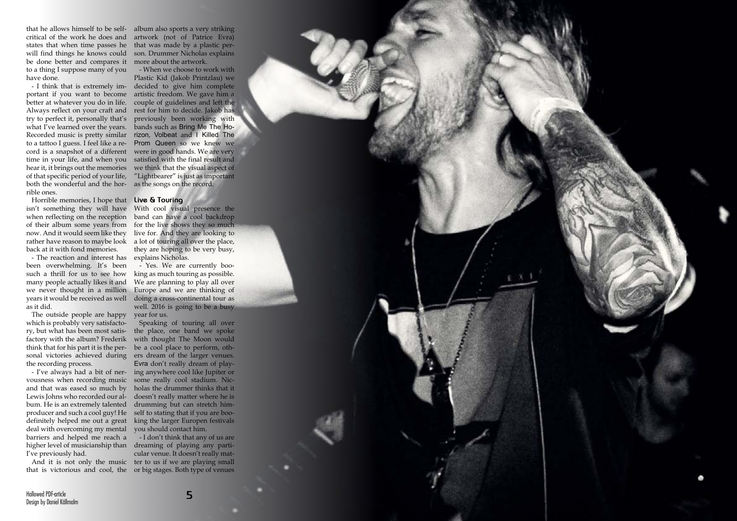

that he allows himself to be self-album also sports a very striking critical of the work he does and will find things he knows could be done better and compares it to a thing I suppose many of you have done.

better at whatever you do in life. Always reflect on your craft and try to perfect it, personally that's what I've learned over the years. of that specific period of your life, both the wonderful and the hor - as the songs on the record. rible ones.

vousness when recording music some really cool stadium. Nicand that was eased so much by Lewis Johns who recorded our al bum. He is an extremely talented producer and such a cool guy! He definitely helped me out a great deal with overcoming my mental barriers and helped me reach a I've previously had.

Horrible memories, I hope that **Live & Touring** isn't something they will have With cool visual presence the when reflecting on the reception of their album some years from now. And it would seem like they rather have reason to maybe look back at it with fond memories.

states that when time passes he that was made by a plastic perartwork (not of Patrice Evra) son. Drummer Nicholas explains more about the artwork.

- The reaction and interest has explains Nicholas. been overwhelming. It's been such a thrill for us to see how many people actually likes it and we never thought in a million years it would be received as well as it did.

- I think that is extremely im- decided to give him complete portant if you want to become artistic freedom. We gave him a Recorded music is pretty similar rizon, Volbeat and I Killed The to a tattoo I guess. I feel like a re- Prom Queen so we knew we cord is a snapshot of a different were in good hands. We are very time in your life, and when you satisfied with the final result and hear it, it brings out the memories we think that the visual aspect of - When we choose to work with Plastic Kid (Jakob Printzlau) we couple of guidelines and left the rest for him to decide. Jakob has previously been working with bands such as Bring Me The Ho - "Lightbearer" is just as important

The outside people are happy which is probably very satisfacto ry, but what has been most satis factory with the album? Frederik the recording process.

think that for his part it is the per - be a cool place to perform, oth sonal victories achieved during ers dream of the larger venues. - I've always had a bit of ner - ing anywhere cool like Jupiter or Speaking of touring all over the place, one band we spoke with thought The Moon would Evra don't really dream of play holas the drummer thinks that it doesn't really matter where he is drumming but can stretch him self to stating that if you are boo king the larger Europen festivals you should contact him.

higher level of musicianship than dreaming of playing any parti - And it is not only the music ter to us if we are playing small that is victorious and cool, the or big stages. Both type of venues - I don't think that any of us are cular venue. It doesn't really mat -

band can have a cool backdrop for the live shows they so much live for. And they are looking to a lot of touring all over the place, they are hoping to be very busy,

- Yes. We are currently boo king as much touring as possible. We are planning to play all over Europe and we are thinking of doing a cross-continental tour as well. 2016 is going to be a busy year for us.